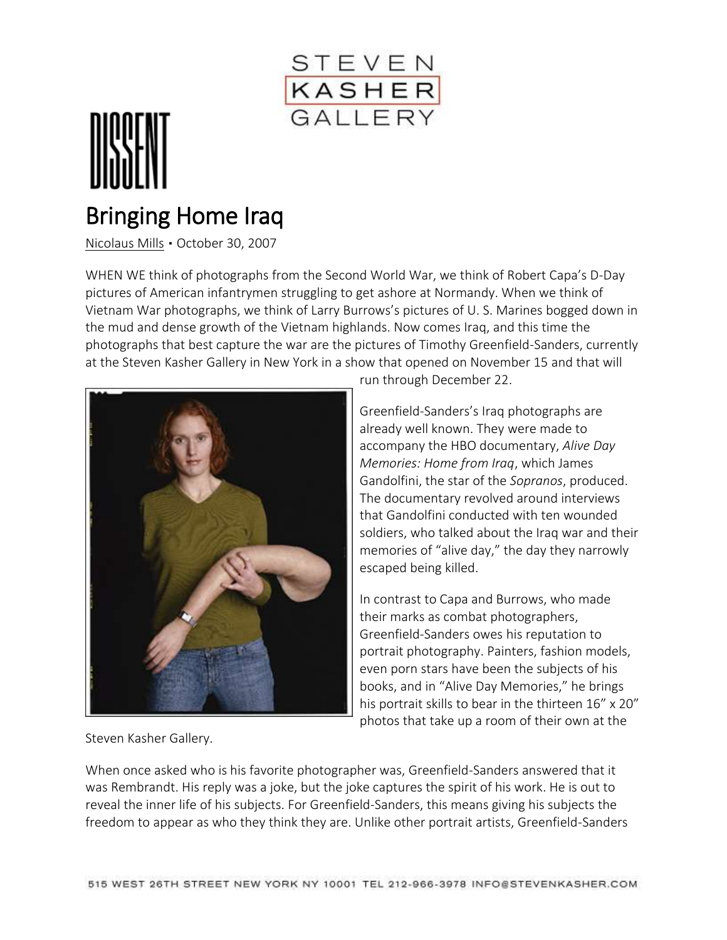

## Bringing Home Iraq

[Nicolaus Mills](http://www.dissentmagazine.org/author/nicolausmills) ▪ October 30, 2007

WHEN WE think of photographs from the Second World War, we think of Robert Capa's D-Day pictures of American infantrymen struggling to get ashore at Normandy. When we think of Vietnam War photographs, we think of Larry Burrows's pictures of U. S. Marines bogged down in the mud and dense growth of the Vietnam highlands. Now comes Iraq, and this time the photographs that best capture the war are the pictures of Timothy Greenfield-Sanders, currently at the Steven Kasher Gallery in New York in a show that opened on November 15 and that will



run through December 22.

Greenfield-Sanders's Iraq photographs are already well known. They were made to accompany the HBO documentary, *Alive Day Memories: Home from Iraq*, which James Gandolfini, the star of the *Sopranos*, produced. The documentary revolved around interviews that Gandolfini conducted with ten wounded soldiers, who talked about the Iraq war and their memories of "alive day," the day they narrowly escaped being killed.

In contrast to Capa and Burrows, who made their marks as combat photographers, Greenfield-Sanders owes his reputation to portrait photography. Painters, fashion models, even porn stars have been the subjects of his books, and in "Alive Day Memories," he brings his portrait skills to bear in the thirteen 16" x 20" photos that take up a room of their own at the

Steven Kasher Gallery.

When once asked who is his favorite photographer was, Greenfield-Sanders answered that it was Rembrandt. His reply was a joke, but the joke captures the spirit of his work. He is out to reveal the inner life of his subjects. For Greenfield-Sanders, this means giving his subjects the freedom to appear as who they think they are. Unlike other portrait artists, Greenfield-Sanders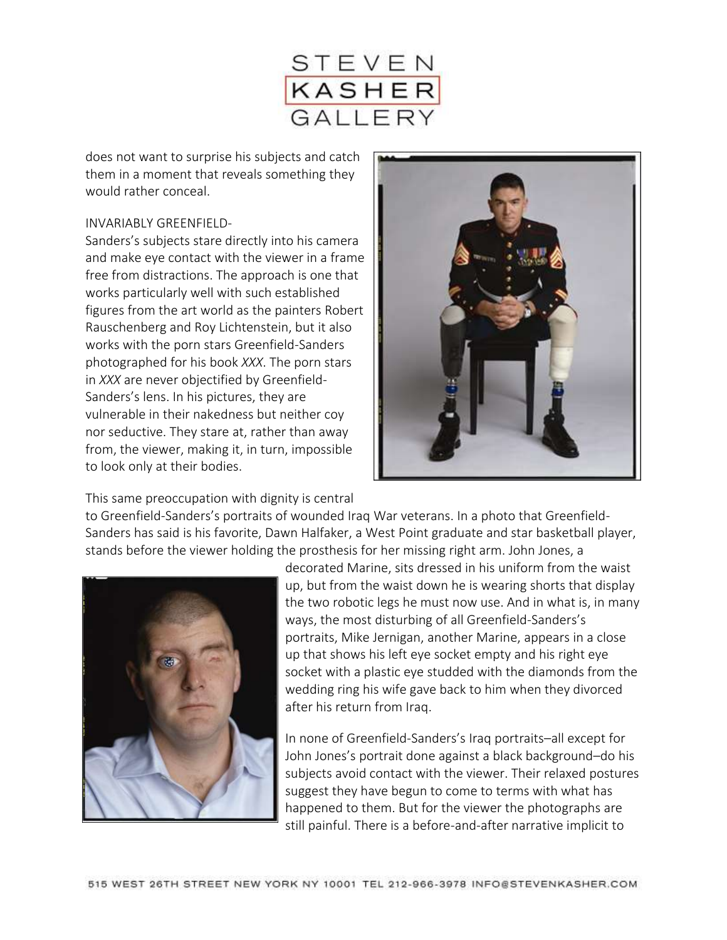

does not want to surprise his subjects and catch them in a moment that reveals something they would rather conceal.

## INVARIABLY GREENFIELD-

Sanders's subjects stare directly into his camera and make eye contact with the viewer in a frame free from distractions. The approach is one that works particularly well with such established figures from the art world as the painters Robert Rauschenberg and Roy Lichtenstein, but it also works with the porn stars Greenfield-Sanders photographed for his book *XXX*. The porn stars in *XXX* are never objectified by Greenfield-Sanders's lens. In his pictures, they are vulnerable in their nakedness but neither coy nor seductive. They stare at, rather than away from, the viewer, making it, in turn, impossible to look only at their bodies.



This same preoccupation with dignity is central

to Greenfield-Sanders's portraits of wounded Iraq War veterans. In a photo that Greenfield-Sanders has said is his favorite, Dawn Halfaker, a West Point graduate and star basketball player, stands before the viewer holding the prosthesis for her missing right arm. John Jones, a

![](_page_1_Picture_7.jpeg)

decorated Marine, sits dressed in his uniform from the waist up, but from the waist down he is wearing shorts that display the two robotic legs he must now use. And in what is, in many ways, the most disturbing of all Greenfield-Sanders's portraits, Mike Jernigan, another Marine, appears in a close up that shows his left eye socket empty and his right eye socket with a plastic eye studded with the diamonds from the wedding ring his wife gave back to him when they divorced after his return from Iraq.

In none of Greenfield-Sanders's Iraq portraits–all except for John Jones's portrait done against a black background–do his subjects avoid contact with the viewer. Their relaxed postures suggest they have begun to come to terms with what has happened to them. But for the viewer the photographs are still painful. There is a before-and-after narrative implicit to